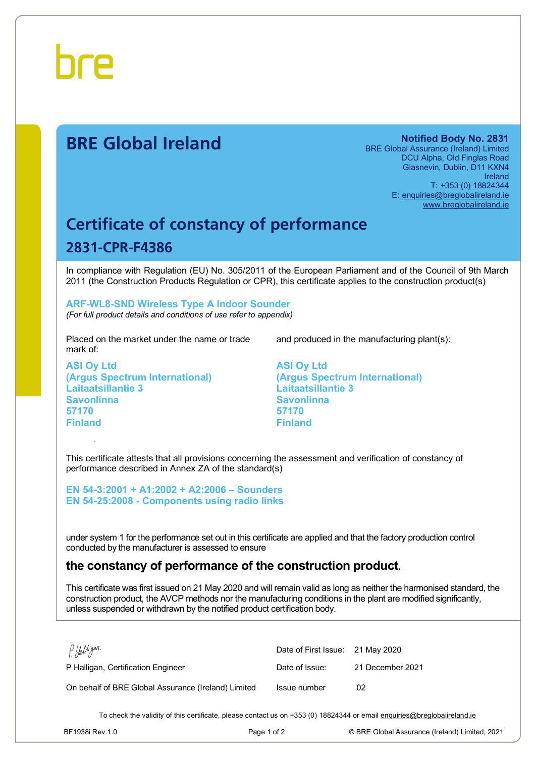

# **BRE Global Ireland Notified Body No. 2831**

BRE Global Assurance (Ireland) Limited DCU Alpha, Old Finglas Road Glasnevin, Dublin, D11 KXN4 Ireland T: +353 (0) 18824344 E: [enquiries@breglobalireland.ie](mailto:enquiries@breglobalireland.ie) [www.breglobalireland.ie](http://www.breglobalireland.ie)

# **Certificate of constancy of performance 2831-CPR-F4386**

In compliance with Regulation (EU) No. 305/2011 of the European Parliament and of the Council of 9th March 2011 (the Construction Products Regulation or CPR), this certificate applies to the construction product(s)

### **ARF-WL8-SND Wireless Type A Indoor Sounder**  *(For full product details and conditions of use refer to appendix)*

Placed on the market under the name or trade mark of:

**ASI Oy Ltd (Argus Spectrum International) Laitaatsillantie 3 Savonlinna 57170 Finland** 

and produced in the manufacturing plant(s):

**ASI Oy Ltd (Argus Spectrum International) Laitaatsillantie 3 Savonlinna 57170 Finland** 

This certificate attests that all provisions concerning the assessment and verification of constancy of performance described in Annex ZA of the standard(s)

**EN 54-3:2001 + A1:2002 + A2:2006 – Sounders EN 54-25:2008 - Components using radio links** 

under system 1 for the performance set out in this certificate are applied and that the factory production control conducted by the manufacturer is assessed to ensure

# **the constancy of performance of the construction product.**

This certificate was first issued on 21 May 2020 and will remain valid as long as neither the harmonised standard, the construction product, the AVCP methods nor the manufacturing conditions in the plant are modified significantly, unless suspended or withdrawn by the notified product certification body.

| P. Halligan.                                        | Date of First Issue: 21 May 2020 |                  |
|-----------------------------------------------------|----------------------------------|------------------|
| P Halligan, Certification Engineer                  | Date of Issue:                   | 21 December 2021 |
| On behalf of BRE Global Assurance (Ireland) Limited | Issue number                     | 02               |

To check the validity of this certificate, please contact us on +353 (0) 18824344 or email [enquiries@breglobalireland.ie](mailto:enquiries@breglobalireland.ie)